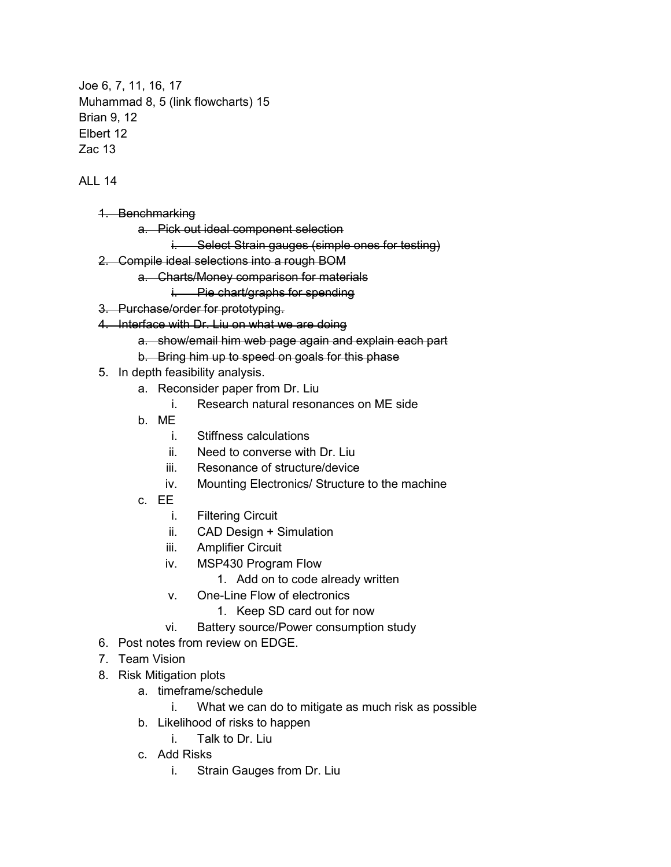Joe 6, 7, 11, 16, 17 Muhammad 8, 5 (link flowcharts) 15 Brian 9, 12 Elbert 12 Zac 13

ALL 14

- 1. Benchmarking
	- a. Pick out ideal component selection
		- i. Select Strain gauges (simple ones for testing)
- 2. Compile ideal selections into a rough BOM
	- a. Charts/Money comparison for materials
		- i. Pie chart/graphs for spending
- 3. Purchase/order for prototyping.
- 4. Interface with Dr. Liu on what we are doing
	- a. show/email him web page again and explain each part
	- b. Bring him up to speed on goals for this phase
- 5. In depth feasibility analysis.
	- a. Reconsider paper from Dr. Liu
		- i. Research natural resonances on ME side
	- b. ME
		- i. Stiffness calculations
		- ii. Need to converse with Dr. Liu
		- iii. Resonance of structure/device
		- iv. Mounting Electronics/ Structure to the machine
	- c. EE
		- i. Filtering Circuit
		- ii. CAD Design + Simulation
		- iii. Amplifier Circuit
		- iv. MSP430 Program Flow
			- 1. Add on to code already written
		- v. One-Line Flow of electronics
			- 1. Keep SD card out for now
		- vi. Battery source/Power consumption study
- 6. Post notes from review on EDGE.
- 7. Team Vision
- 8. Risk Mitigation plots
	- a. timeframe/schedule
		- i. What we can do to mitigate as much risk as possible
	- b. Likelihood of risks to happen
		- i. Talk to Dr. Liu
	- c. Add Risks
		- i. Strain Gauges from Dr. Liu